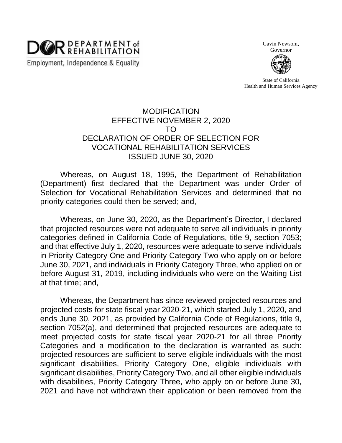

Gavin Newsom,

Governor

State of California Health and Human Services Agency

## MODIFICATION EFFECTIVE NOVEMBER 2, 2020 TO DECLARATION OF ORDER OF SELECTION FOR VOCATIONAL REHABILITATION SERVICES ISSUED JUNE 30, 2020

Whereas, on August 18, 1995, the Department of Rehabilitation (Department) first declared that the Department was under Order of Selection for Vocational Rehabilitation Services and determined that no priority categories could then be served; and,

Whereas, on June 30, 2020, as the Department's Director, I declared that projected resources were not adequate to serve all individuals in priority categories defined in California Code of Regulations, title 9, section 7053; and that effective July 1, 2020, resources were adequate to serve individuals in Priority Category One and Priority Category Two who apply on or before June 30, 2021, and individuals in Priority Category Three, who applied on or before August 31, 2019, including individuals who were on the Waiting List at that time; and,

Whereas, the Department has since reviewed projected resources and projected costs for state fiscal year 2020-21, which started July 1, 2020, and ends June 30, 2021, as provided by California Code of Regulations, title 9, section 7052(a), and determined that projected resources are adequate to meet projected costs for state fiscal year 2020-21 for all three Priority Categories and a modification to the declaration is warranted as such: projected resources are sufficient to serve eligible individuals with the most significant disabilities, Priority Category One, eligible individuals with significant disabilities, Priority Category Two, and all other eligible individuals with disabilities, Priority Category Three, who apply on or before June 30, 2021 and have not withdrawn their application or been removed from the